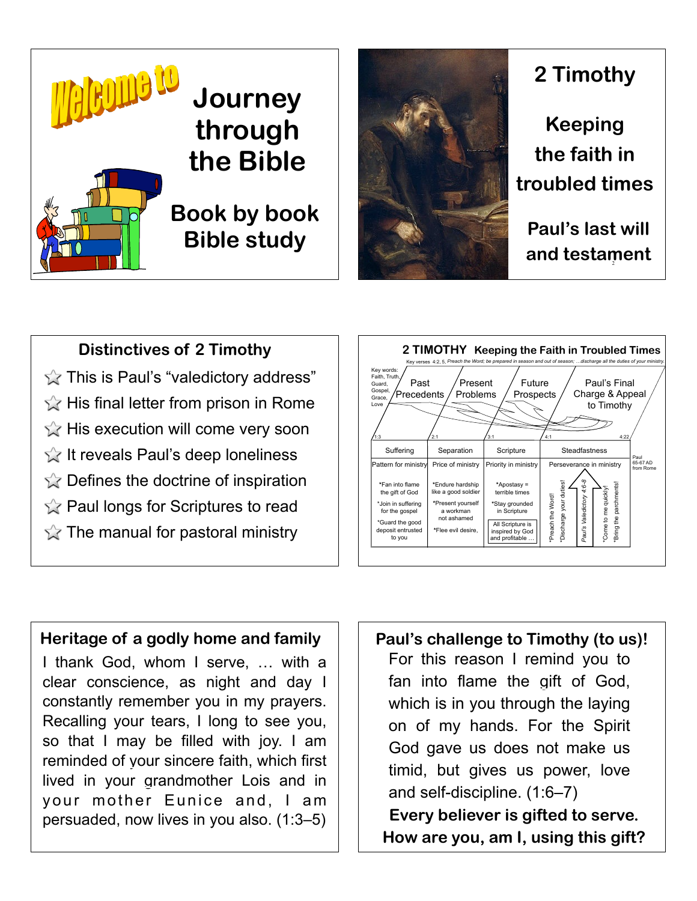



# **2 Timothy**

**Keeping the faith in troubled times**

**Paul's last will and testament**

## **Distinctives of 2 Timothy**

 $\sqrt{x}$  This is Paul's "valedictory address"  $\&$  His final letter from prison in Rome  $\hat{\mathbb{X}}$  His execution will come very soon  $\hat{K}$  It reveals Paul's deep loneliness  $\hat{X}$  Defines the doctrine of inspiration  $\sqrt{\chi}$  Paul longs for Scriptures to read  $\hat{X}$  The manual for pastoral ministry



#### **Heritage of a godly home and family**

I thank God, whom I serve, … with a clear conscience, as night and day I constantly remember you in my prayers. Recalling your tears, I long to see you, so that I may be filled with joy. I am reminded of your sincere faith, which first lived in your grandmother Lois and in your mother Eunice and, I am persuaded, now lives in you also. (1:3–5)

For this reason I remind you to fan into flame the gift of God, which is in you through the laying on of my hands. For the Spirit God gave us does not make us timid, but gives us power, love and self-discipline. (1:6–7) **Paul's challenge to Timothy (to us)! Every believer is gifted to serve. How are you, am I, using this gift?**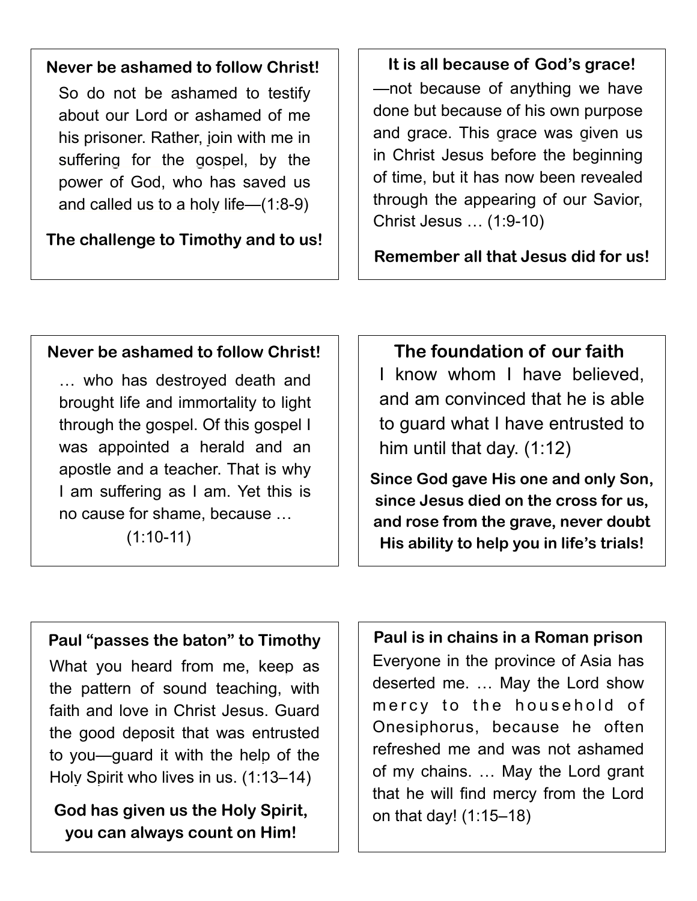## **Never be ashamed to follow Christ!**

So do not be ashamed to testify about our Lord or ashamed of me his prisoner. Rather, join with me in suffering for the gospel, by the power of God, who has saved us and called us to a holy life—(1:8-9)

**The challenge to Timothy and to us!**

—not because of anything we have done but because of his own purpose and grace. This grace was given us in Christ Jesus before the beginning of time, but it has now been revealed through the appearing of our Savior, Christ Jesus … (1:9-10) **It is all because of God's grace!**

**Remember all that Jesus did for us!**

## **Never be ashamed to follow Christ!**

… who has destroyed death and brought life and immortality to light through the gospel. Of this gospel I was appointed a herald and an apostle and a teacher. That is why I am suffering as I am. Yet this is no cause for shame, because …

 $(1:10-11)$ 

## **The foundation of our faith**

I know whom I have believed, and am convinced that he is able to guard what I have entrusted to him until that day. (1:12)

**Since God gave His one and only Son, since Jesus died on the cross for us, and rose from the grave, never doubt His ability to help you in life's trials!**

#### **Paul "passes the baton" to Timothy**

What you heard from me, keep as the pattern of sound teaching, with faith and love in Christ Jesus. Guard the good deposit that was entrusted to you—guard it with the help of the Holy Spirit who lives in us. (1:13–14)

**God has given us the Holy Spirit, you can always count on Him!**

**Paul is in chains in a Roman prison**  Everyone in the province of Asia has deserted me. … May the Lord show mercy to the household of Onesiphorus, because he often refreshed me and was not ashamed of my chains. … May the Lord grant that he will find mercy from the Lord on that day! (1:15–18)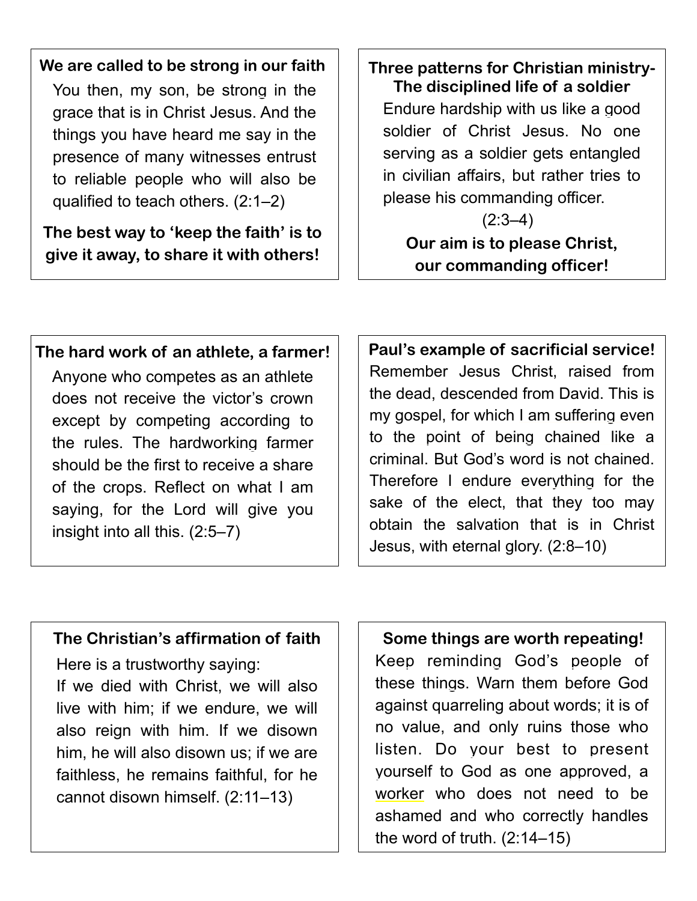## **We are called to be strong in our faith**

You then, my son, be strong in the grace that is in Christ Jesus. And the things you have heard me say in the presence of many witnesses entrust to reliable people who will also be qualified to teach others. (2:1–2)

**The best way to 'keep the faith' is to give it away, to share it with others!**

## **Three patterns for Christian ministry-The disciplined life of a soldier**

Endure hardship with us like a good soldier of Christ Jesus. No one serving as a soldier gets entangled in civilian affairs, but rather tries to please his commanding officer.

 $(2:3-4)$ **Our aim is to please Christ, our commanding officer!**

## **The hard work of an athlete, a farmer!**

Anyone who competes as an athlete does not receive the victor's crown except by competing according to the rules. The hardworking farmer should be the first to receive a share of the crops. Reflect on what I am saying, for the Lord will give you insight into all this. (2:5–7)

Remember Jesus Christ, raised from the dead, descended from David. This is my gospel, for which I am suffering even to the point of being chained like a criminal. But God's word is not chained. Therefore I endure everything for the sake of the elect, that they too may obtain the salvation that is in Christ Jesus, with eternal glory. (2:8–10) **Paul's example of sacrificial service!**

#### **The Christian's affirmation of faith Some things are worth repeating!**

Here is a trustworthy saying: If we died with Christ, we will also live with him; if we endure, we will also reign with him. If we disown him, he will also disown us; if we are faithless, he remains faithful, for he cannot disown himself. (2:11–13)

Keep reminding God's people of these things. Warn them before God against quarreling about words; it is of no value, and only ruins those who listen. Do your best to present yourself to God as one approved, a worker who does not need to be ashamed and who correctly handles the word of truth. (2:14–15)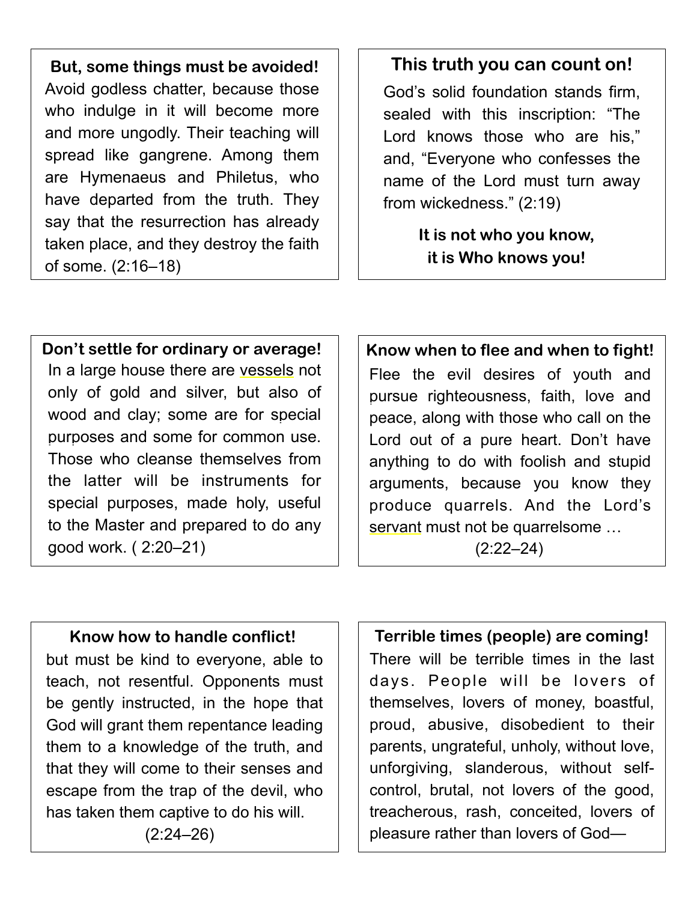**But, some things must be avoided!** Avoid godless chatter, because those who indulge in it will become more and more ungodly. Their teaching will spread like gangrene. Among them are Hymenaeus and Philetus, who have departed from the truth. They say that the resurrection has already taken place, and they destroy the faith of some. (2:16–18)

## **This truth you can count on!**

God's solid foundation stands firm, sealed with this inscription: "The Lord knows those who are his," and, "Everyone who confesses the name of the Lord must turn away from wickedness." (2:19)

> **It is not who you know, it is Who knows you!**

## **Don't settle for ordinary or average! | | Know when to flee and when to fight!**

In a large house there are vessels not only of gold and silver, but also of wood and clay; some are for special purposes and some for common use. Those who cleanse themselves from the latter will be instruments for special purposes, made holy, useful to the Master and prepared to do any good work. ( 2:20–21)

Flee the evil desires of youth and pursue righteousness, faith, love and peace, along with those who call on the Lord out of a pure heart. Don't have anything to do with foolish and stupid arguments, because you know they produce quarrels. And the Lord's servant must not be quarrelsome …  $(2:22 - 24)$ 

## **Know how to handle conflict!**

but must be kind to everyone, able to teach, not resentful. Opponents must be gently instructed, in the hope that God will grant them repentance leading them to a knowledge of the truth, and that they will come to their senses and escape from the trap of the devil, who has taken them captive to do his will.

(2:24–26)

## **Terrible times (people) are coming!**

There will be terrible times in the last days. People will be lovers of themselves, lovers of money, boastful, proud, abusive, disobedient to their parents, ungrateful, unholy, without love, unforgiving, slanderous, without selfcontrol, brutal, not lovers of the good, treacherous, rash, conceited, lovers of pleasure rather than lovers of God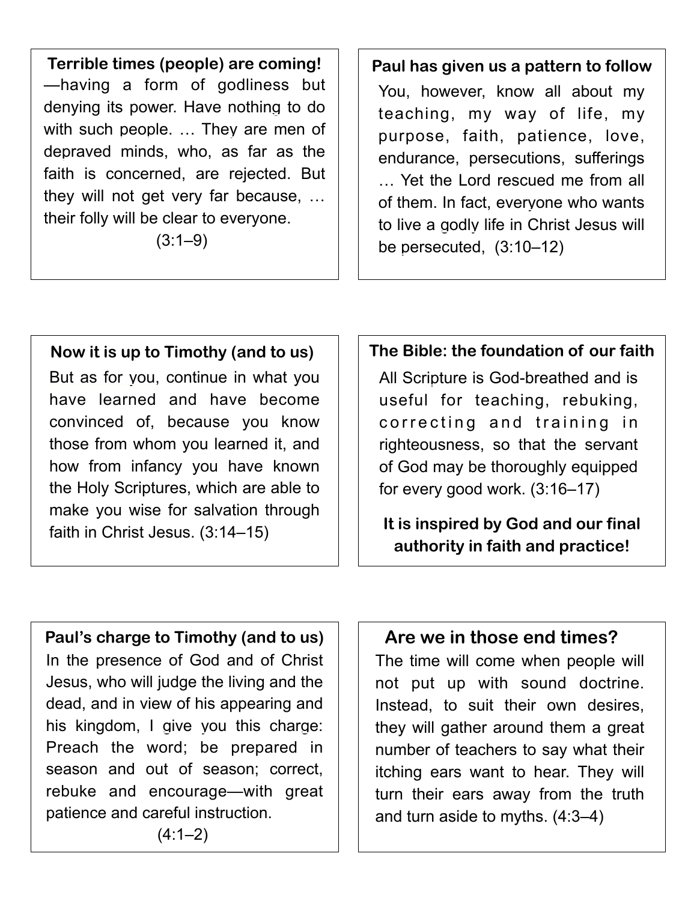—having a form of godliness but denying its power. Have nothing to do with such people. … They are men of depraved minds, who, as far as the faith is concerned, are rejected. But they will not get very far because, … their folly will be clear to everyone. **Terrible times (people) are coming! Paul has given us a pattern to follow**

 $(3:1-9)$ 

You, however, know all about my teaching, my way of life, my purpose, faith, patience, love, endurance, persecutions, sufferings … Yet the Lord rescued me from all of them. In fact, everyone who wants to live a godly life in Christ Jesus will be persecuted, (3:10–12)

## **Now it is up to Timothy (and to us)**

But as for you, continue in what you have learned and have become convinced of, because you know those from whom you learned it, and how from infancy you have known the Holy Scriptures, which are able to make you wise for salvation through faith in Christ Jesus. (3:14–15)

## **The Bible: the foundation of our faith**

All Scripture is God-breathed and is useful for teaching, rebuking, correcting and training in righteousness, so that the servant of God may be thoroughly equipped for every good work. (3:16–17)

**It is inspired by God and our final authority in faith and practice!**

**Paul's charge to Timothy (and to us)**  In the presence of God and of Christ Jesus, who will judge the living and the dead, and in view of his appearing and his kingdom, I give you this charge: Preach the word; be prepared in season and out of season; correct, rebuke and encourage—with great patience and careful instruction.

## **Are we in those end times?**

The time will come when people will not put up with sound doctrine. Instead, to suit their own desires, they will gather around them a great number of teachers to say what their itching ears want to hear. They will turn their ears away from the truth and turn aside to myths. (4:3–4)